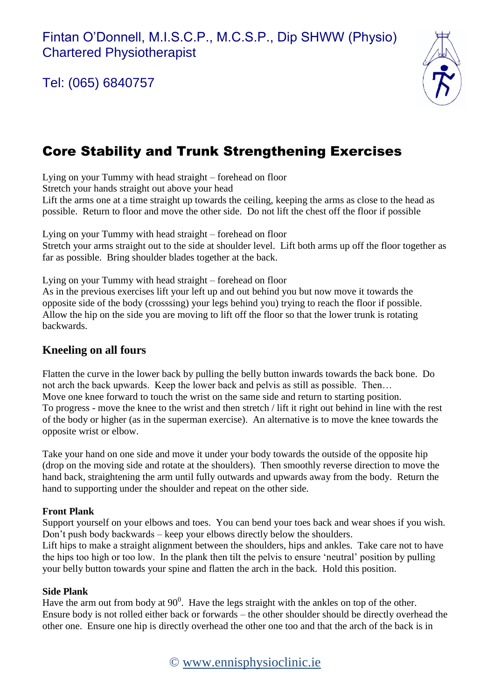Tel: (065) 6840757



# Core Stability and Trunk Strengthening Exercises

Lying on your Tummy with head straight – forehead on floor

Stretch your hands straight out above your head

Lift the arms one at a time straight up towards the ceiling, keeping the arms as close to the head as possible. Return to floor and move the other side. Do not lift the chest off the floor if possible

Lying on your Tummy with head straight – forehead on floor

Stretch your arms straight out to the side at shoulder level. Lift both arms up off the floor together as far as possible. Bring shoulder blades together at the back.

Lying on your Tummy with head straight – forehead on floor

As in the previous exercises lift your left up and out behind you but now move it towards the opposite side of the body (crosssing) your legs behind you) trying to reach the floor if possible. Allow the hip on the side you are moving to lift off the floor so that the lower trunk is rotating backwards.

### **Kneeling on all fours**

Flatten the curve in the lower back by pulling the belly button inwards towards the back bone. Do not arch the back upwards. Keep the lower back and pelvis as still as possible. Then… Move one knee forward to touch the wrist on the same side and return to starting position. To progress - move the knee to the wrist and then stretch / lift it right out behind in line with the rest of the body or higher (as in the superman exercise). An alternative is to move the knee towards the opposite wrist or elbow.

Take your hand on one side and move it under your body towards the outside of the opposite hip (drop on the moving side and rotate at the shoulders). Then smoothly reverse direction to move the hand back, straightening the arm until fully outwards and upwards away from the body. Return the hand to supporting under the shoulder and repeat on the other side.

### **Front Plank**

Support yourself on your elbows and toes. You can bend your toes back and wear shoes if you wish. Don't push body backwards – keep your elbows directly below the shoulders.

Lift hips to make a straight alignment between the shoulders, hips and ankles. Take care not to have the hips too high or too low. In the plank then tilt the pelvis to ensure 'neutral' position by pulling your belly button towards your spine and flatten the arch in the back. Hold this position.

### **Side Plank**

Have the arm out from body at  $90^0$ . Have the legs straight with the ankles on top of the other. Ensure body is not rolled either back or forwards – the other shoulder should be directly overhead the other one. Ensure one hip is directly overhead the other one too and that the arch of the back is in